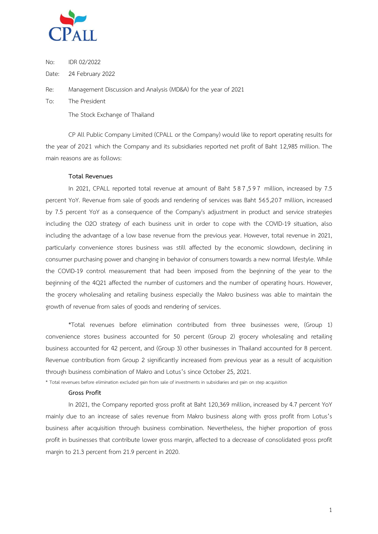

No: IDR 02/2022

Date: 24 February 2022

Re: Management Discussion and Analysis (MD&A) for the year of 2021

To: The President

The Stock Exchange of Thailand

CP All Public Company Limited (CPALL or the Company) would like to report operating results for the year of 2021 which the Company and its subsidiaries reported net profit of Baht 12,985 million. The main reasons are as follows:

### **Total Revenues**

In 2021, CPALL reported total revenue at amount of Baht 5 8 7,597 million, increased by 7.5 percent YoY. Revenue from sale of goods and rendering of services was Baht 565,207 million, increased by 7.5 percent YoY as a consequence of the Company's adjustment in product and service strategies including the O2O strategy of each business unit in order to cope with the COVID-19 situation, also including the advantage of a low base revenue from the previous year. However, total revenue in 2021, particularly convenience stores business was still affected by the economic slowdown, declining in consumer purchasing power and changing in behavior of consumers towards a new normal lifestyle. While the COVID-19 control measurement that had been imposed from the beginning of the year to the beginning of the 4Q21 affected the number of customers and the number of operating hours. However, the grocery wholesaling and retailing business especially the Makro business was able to maintain the growth of revenue from sales of goods and rendering of services.

\*Total revenues before elimination contributed from three businesses were, (Group 1) convenience stores business accounted for 50 percent (Group 2) grocery wholesaling and retailing business accounted for 42 percent, and (Group 3) other businesses in Thailand accounted for 8 percent. Revenue contribution from Group 2 significantly increased from previous year as a result of acquisition through business combination of Makro and Lotus's since October 25, 2021.

\* Total revenues before elimination excluded gain from sale of investments in subsidiaries and gain on step acquisition

### **Gross Profit**

In 2021, the Company reported gross profit at Baht 120,369 million, increased by 4.7 percent YoY mainly due to an increase of sales revenue from Makro business along with gross profit from Lotus's business after acquisition through business combination. Nevertheless, the higher proportion of gross profit in businesses that contribute lower gross margin, affected to a decrease of consolidated gross profit margin to 21.3 percent from 21.9 percent in 2020.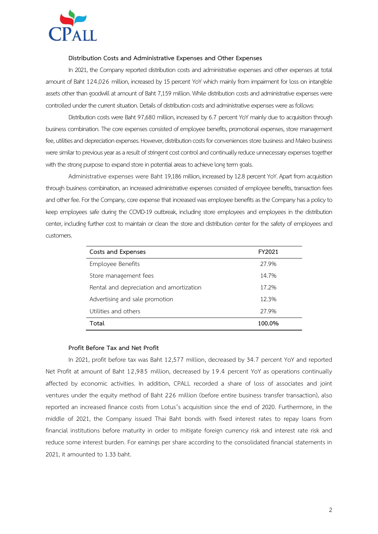

### **Distribution Costs and Administrative Expenses and Other Expenses**

In 2021, the Company reported distribution costs and administrative expenses and other expenses at total amount of Baht 124,026 million, increased by 15 percent YoY which mainly from impairment for loss on intangible assets other than goodwill at amount of Baht 7,159 million. While distribution costs and administrative expenses were controlled under the current situation. Details of distribution costs and administrative expenses were as follows:

Distribution costs were Baht 97,680 million, increased by 6.7 percent YoY mainly due to acquisition through business combination. The core expenses consisted of employee benefits, promotional expenses, store management fee, utilities and depreciation expenses. However, distribution costs for conveniences store business and Makro business were similar to previous year as a result of stringent cost control and continually reduce unnecessary expenses together with the strong purpose to expand store in potential areas to achieve long term goals.

Administrative expenses were Baht 19,186 million, increased by 12.8 percent YoY. Apart from acquisition through business combination, an increased administrative expenses consisted of employee benefits, transaction fees and other fee. For the Company, core expense that increased was employee benefits as the Company has a policy to keep employees safe during the COVID-19 outbreak, including store employees and employees in the distribution center, including further cost to maintain or clean the store and distribution center for the safety of employees and customers.

| Costs and Expenses<br>FY2021             |        |
|------------------------------------------|--------|
| Employee Benefits                        | 27.9%  |
| Store management fees                    | 14.7%  |
| Rental and depreciation and amortization | 17.2%  |
| Advertising and sale promotion           | 12.3%  |
| Utilities and others                     | 27.9%  |
| Total                                    | 100.0% |

### **Profit Before Tax and Net Profit**

In 2021, profit before tax was Baht 12,577 million, decreased by 34.7 percent YoY and reported Net Profit at amount of Baht 12,985 million, decreased by 19.4 percent YoY as operations continually affected by economic activities. In addition, CPALL recorded a share of loss of associates and joint ventures under the equity method of Baht 226 million (before entire business transfer transaction), also reported an increased finance costs from Lotus's acquisition since the end of 2020. Furthermore, in the middle of 2021, the Company issued Thai Baht bonds with fixed interest rates to repay loans from financial institutions before maturity in order to mitigate foreign currency risk and interest rate risk and reduce some interest burden. For earnings per share according to the consolidated financial statements in 2021, it amounted to 1.33 baht.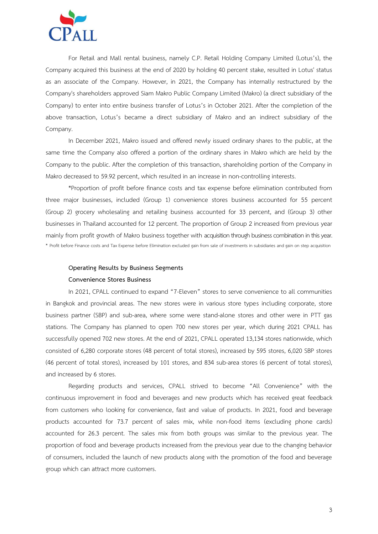

For Retail and Mall rental business, namely C.P. Retail Holding Company Limited (Lotus's), the Company acquired this business at the end of 2020 by holding 40 percent stake, resulted in Lotus' status as an associate of the Company. However, in 2021, the Company has internally restructured by the Company's shareholders approved Siam Makro Public Company Limited (Makro) (a direct subsidiary of the Company) to enter into entire business transfer of Lotus's in October 2021. After the completion of the above transaction, Lotus's became a direct subsidiary of Makro and an indirect subsidiary of the Company.

In December 2021, Makro issued and offered newly issued ordinary shares to the public, at the same time the Company also offered a portion of the ordinary shares in Makro which are held by the Company to the public. After the completion of this transaction, shareholding portion of the Company in Makro decreased to 59.92 percent, which resulted in an increase in non-controlling interests.

\*Proportion of profit before finance costs and tax expense before elimination contributed from three major businesses, included (Group 1) convenience stores business accounted for 55 percent (Group 2) grocery wholesaling and retailing business accounted for 33 percent, and (Group 3) other businesses in Thailand accounted for 12 percent. The proportion of Group 2 increased from previous year mainly from profit growth of Makro business together with acquisition through business combinationin this year. \* Profit before Finance costs and Tax Expense before Elimination excluded gain from sale of investments in subsidiaries and gain on step acquisition

# **Operating Results by Business Segments Convenience Stores Business**

In 2021, CPALL continued to expand "7-Eleven" stores to serve convenience to all communities in Bangkok and provincial areas. The new stores were in various store types including corporate, store business partner (SBP) and sub-area, where some were stand-alone stores and other were in PTT gas stations. The Company has planned to open 700 new stores per year, which during 2021 CPALL has successfully opened 702 new stores. At the end of 2021, CPALL operated 13,134 stores nationwide, which consisted of 6,280 corporate stores (48 percent of total stores), increased by 595 stores, 6,020 SBP stores (46 percent of total stores), increased by 101 stores, and 834 sub-area stores (6 percent of total stores), and increased by 6 stores.

Regarding products and services, CPALL strived to become "All Convenience" with the continuous improvement in food and beverages and new products which has received great feedback from customers who looking for convenience, fast and value of products. In 2021, food and beverage products accounted for 73.7 percent of sales mix, while non-food items (excluding phone cards) accounted for 26.3 percent. The sales mix from both groups was similar to the previous year. The proportion of food and beverage products increased from the previous year due to the changing behavior of consumers, included the launch of new products along with the promotion of the food and beverage group which can attract more customers.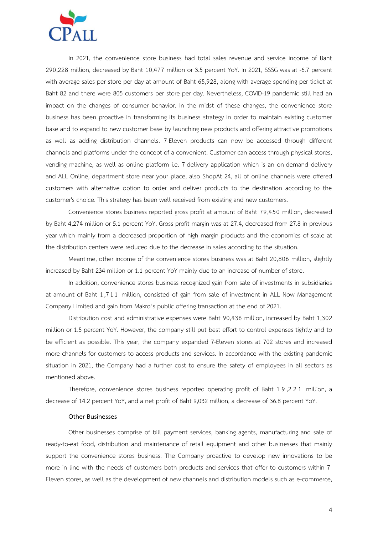

In 2021, the convenience store business had total sales revenue and service income of Baht 290,228 million, decreased by Baht 10,477 million or 3.5 percent YoY. In 2021, SSSG was at -6.7 percent with average sales per store per day at amount of Baht 65,928, along with average spending per ticket at Baht 82 and there were 805 customers per store per day. Nevertheless, COVID-19 pandemic still had an impact on the changes of consumer behavior. In the midst of these changes, the convenience store business has been proactive in transforming its business strategy in order to maintain existing customer base and to expand to new customer base by launching new products and offering attractive promotions as well as adding distribution channels. 7-Eleven products can now be accessed through different channels and platforms under the concept of a convenient. Customer can access through physical stores, vending machine, as well as online platform i.e. 7-delivery application which is an on-demand delivery and ALL Online, department store near your place, also ShopAt 24, all of online channels were offered customers with alternative option to order and deliver products to the destination according to the customer's choice. This strategy has been well received from existing and new customers.

Convenience stores business reported gross profit at amount of Baht 79,450 million, decreased by Baht 4,274 million or 5.1 percent YoY. Gross profit margin was at 27.4, decreased from 27.8 in previous year which mainly from a decreased proportion of high margin products and the economies of scale at the distribution centers were reduced due to the decrease in sales according to the situation.

Meantime, other income of the convenience stores business was at Baht 20,806 million, slightly increased by Baht 234 million or 1.1 percent YoY mainly due to an increase of number of store.

In addition, convenience stores business recognized gain from sale of investments in subsidiaries at amount of Baht 1,711 million, consisted of gain from sale of investment in ALL Now Management Company Limited and gain from Makro's public offering transaction at the end of 2021.

Distribution cost and administrative expenses were Baht 90,436 million, increased by Baht 1,302 million or 1.5 percent YoY. However, the company still put best effort to control expenses tightly and to be efficient as possible. This year, the company expanded 7-Eleven stores at 702 stores and increased more channels for customers to access products and services. In accordance with the existing pandemic situation in 2021, the Company had a further cost to ensure the safety of employees in all sectors as mentioned above.

Therefore, convenience stores business reported operating profit of Baht 1 9 ,221 million, a decrease of 14.2 percent YoY, and a net profit of Baht 9,032 million, a decrease of 36.8 percent YoY.

#### **Other Businesses**

Other businesses comprise of bill payment services, banking agents, manufacturing and sale of ready-to-eat food, distribution and maintenance of retail equipment and other businesses that mainly support the convenience stores business. The Company proactive to develop new innovations to be more in line with the needs of customers both products and services that offer to customers within 7- Eleven stores, as well as the development of new channels and distribution models such as e-commerce,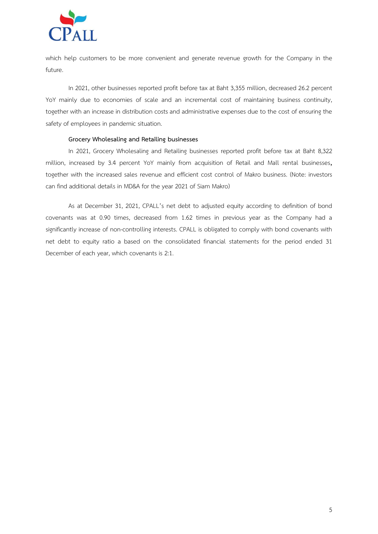

which help customers to be more convenient and generate revenue growth for the Company in the future.

In 2021, other businesses reported profit before tax at Baht 3,355 million, decreased 26.2 percent YoY mainly due to economies of scale and an incremental cost of maintaining business continuity, together with an increase in distribution costs and administrative expenses due to the cost of ensuring the safety of employees in pandemic situation.

### **Grocery Wholesaling and Retailing businesses**

In 2021, Grocery Wholesaling and Retailing businesses reported profit before tax at Baht 8,322 million, increased by 3.4 percent YoY mainly from acquisition of Retail and Mall rental businesses, together with the increased sales revenue and efficient cost control of Makro business. (Note: investors can find additional details in MD&A for the year 2021 of Siam Makro)

As at December 31, 2021, CPALL's net debt to adjusted equity according to definition of bond covenants was at 0.90 times, decreased from 1.62 times in previous year as the Company had a significantly increase of non-controlling interests. CPALL is obligated to comply with bond covenants with net debt to equity ratio a based on the consolidated financial statements for the period ended 31 December of each year, which covenants is 2:1.